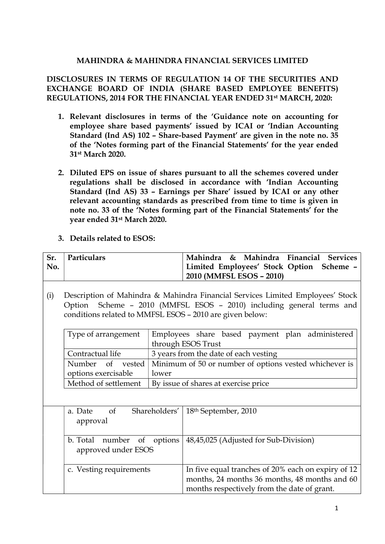### MAHINDRA & MAHINDRA FINANCIAL SERVICES LIMITED

### DISCLOSURES IN TERMS OF REGULATION 14 OF THE SECURITIES AND EXCHANGE BOARD OF INDIA (SHARE BASED EMPLOYEE BENEFITS) REGULATIONS, 2014 FOR THE FINANCIAL YEAR ENDED 31st MARCH, 2020:

- 1. Relevant disclosures in terms of the 'Guidance note on accounting for employee share based payments' issued by ICAI or 'Indian Accounting Standard (Ind AS) 102 – Share-based Payment' are given in the note no. 35 of the 'Notes forming part of the Financial Statements' for the year ended 31st March 2020.
- 2. Diluted EPS on issue of shares pursuant to all the schemes covered under regulations shall be disclosed in accordance with 'Indian Accounting Standard (Ind AS) 33 – Earnings per Share' issued by ICAI or any other relevant accounting standards as prescribed from time to time is given in note no. 33 of the 'Notes forming part of the Financial Statements' for the year ended 31st March 2020.
- 3. Details related to ESOS:

| Sr. | Particulars                                              |                                                        | Mahindra & Mahindra Financial Services                                         |  |
|-----|----------------------------------------------------------|--------------------------------------------------------|--------------------------------------------------------------------------------|--|
| No. |                                                          |                                                        | Limited Employees' Stock Option Scheme -                                       |  |
|     |                                                          |                                                        | 2010 (MMFSL ESOS - 2010)                                                       |  |
|     |                                                          |                                                        |                                                                                |  |
| (i) |                                                          |                                                        | Description of Mahindra & Mahindra Financial Services Limited Employees' Stock |  |
|     |                                                          |                                                        | Option Scheme - 2010 (MMFSL ESOS - 2010) including general terms and           |  |
|     | conditions related to MMFSL ESOS - 2010 are given below: |                                                        |                                                                                |  |
|     |                                                          |                                                        |                                                                                |  |
|     | Type of arrangement                                      |                                                        | Employees share based payment plan administered                                |  |
|     |                                                          | through ESOS Trust                                     |                                                                                |  |
|     | Contractual life                                         |                                                        | 3 years from the date of each vesting                                          |  |
|     | Number<br>of vested                                      | Minimum of 50 or number of options vested whichever is |                                                                                |  |
|     | options exercisable                                      | lower                                                  |                                                                                |  |
|     | Method of settlement                                     | By issue of shares at exercise price                   |                                                                                |  |
|     |                                                          |                                                        |                                                                                |  |
|     |                                                          |                                                        |                                                                                |  |
|     | Shareholders'<br><sub>of</sub><br>a. Date                |                                                        | 18 <sup>th</sup> September, 2010                                               |  |
|     | approval                                                 |                                                        |                                                                                |  |
|     | b. Total number<br>options<br>of                         |                                                        |                                                                                |  |
|     |                                                          |                                                        | 48,45,025 (Adjusted for Sub-Division)                                          |  |
|     | approved under ESOS                                      |                                                        |                                                                                |  |
|     | c. Vesting requirements                                  |                                                        |                                                                                |  |
|     |                                                          |                                                        | In five equal tranches of 20% each on expiry of 12                             |  |
|     |                                                          |                                                        | months, 24 months 36 months, 48 months and 60                                  |  |
|     |                                                          |                                                        | months respectively from the date of grant.                                    |  |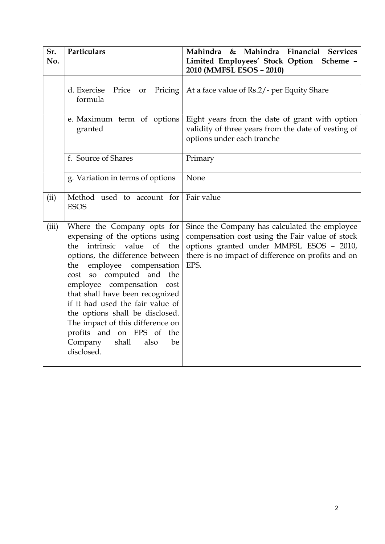| Sr.<br>No.                                   | Particulars                                                                                                                                                                                                                                                                                                                                                                                                                                           | & Mahindra Financial Services<br>Mahindra<br>Limited Employees' Stock Option Scheme -<br>2010 (MMFSL ESOS - 2010)                                                                                          |
|----------------------------------------------|-------------------------------------------------------------------------------------------------------------------------------------------------------------------------------------------------------------------------------------------------------------------------------------------------------------------------------------------------------------------------------------------------------------------------------------------------------|------------------------------------------------------------------------------------------------------------------------------------------------------------------------------------------------------------|
| d. Exercise<br>Price<br><b>or</b><br>formula |                                                                                                                                                                                                                                                                                                                                                                                                                                                       | Pricing   At a face value of Rs.2/- per Equity Share                                                                                                                                                       |
|                                              | e. Maximum term of options<br>granted                                                                                                                                                                                                                                                                                                                                                                                                                 | Eight years from the date of grant with option<br>validity of three years from the date of vesting of<br>options under each tranche                                                                        |
|                                              | f. Source of Shares                                                                                                                                                                                                                                                                                                                                                                                                                                   | Primary                                                                                                                                                                                                    |
|                                              | g. Variation in terms of options                                                                                                                                                                                                                                                                                                                                                                                                                      | None                                                                                                                                                                                                       |
| (ii)                                         | Method used to account for<br><b>ESOS</b>                                                                                                                                                                                                                                                                                                                                                                                                             | Fair value                                                                                                                                                                                                 |
| (iii)                                        | Where the Company opts for<br>expensing of the options using<br>intrinsic value of the<br>the<br>options, the difference between<br>employee compensation<br>the<br>cost so computed and the<br>employee compensation cost<br>that shall have been recognized<br>if it had used the fair value of<br>the options shall be disclosed.<br>The impact of this difference on<br>profits and on EPS of the<br>Company<br>shall<br>also<br>be<br>disclosed. | Since the Company has calculated the employee<br>compensation cost using the Fair value of stock<br>options granted under MMFSL ESOS - 2010,<br>there is no impact of difference on profits and on<br>EPS. |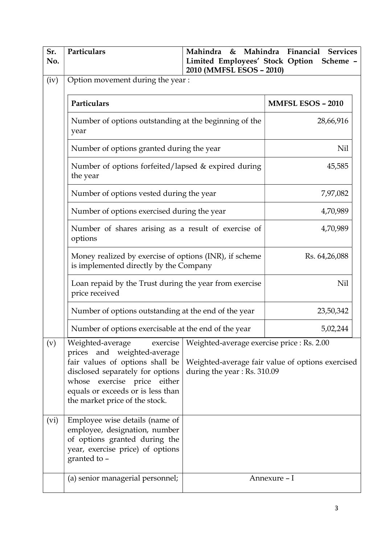| Sr.<br>No. | Particulars                                                                                                                                                                                                                              | Mahindra<br>Limited Employees' Stock Option<br>2010 (MMFSL ESOS - 2010)   | & Mahindra Financial<br><b>Services</b><br>Scheme - |  |
|------------|------------------------------------------------------------------------------------------------------------------------------------------------------------------------------------------------------------------------------------------|---------------------------------------------------------------------------|-----------------------------------------------------|--|
| (iv)       | Option movement during the year:                                                                                                                                                                                                         |                                                                           |                                                     |  |
|            | Particulars                                                                                                                                                                                                                              | <b>MMFSL ESOS - 2010</b>                                                  |                                                     |  |
|            | Number of options outstanding at the beginning of the<br>year                                                                                                                                                                            |                                                                           | 28,66,916                                           |  |
|            | Number of options granted during the year                                                                                                                                                                                                |                                                                           | Nil                                                 |  |
|            | Number of options forfeited/lapsed & expired during<br>the year                                                                                                                                                                          |                                                                           | 45,585                                              |  |
|            | Number of options vested during the year                                                                                                                                                                                                 | 7,97,082                                                                  |                                                     |  |
|            | Number of options exercised during the year                                                                                                                                                                                              | 4,70,989                                                                  |                                                     |  |
|            | Number of shares arising as a result of exercise of<br>options                                                                                                                                                                           | 4,70,989                                                                  |                                                     |  |
|            | Money realized by exercise of options (INR), if scheme<br>is implemented directly by the Company                                                                                                                                         |                                                                           | Rs. 64,26,088                                       |  |
|            | Loan repaid by the Trust during the year from exercise<br>price received                                                                                                                                                                 |                                                                           | Nil                                                 |  |
|            | Number of options outstanding at the end of the year                                                                                                                                                                                     |                                                                           | 23,50,342                                           |  |
|            | Number of options exercisable at the end of the year                                                                                                                                                                                     |                                                                           | 5,02,244                                            |  |
| (v)        | Weighted-average<br>exercise<br>prices and weighted-average<br>fair values of options shall be<br>disclosed separately for options<br>whose exercise price either<br>equals or exceeds or is less than<br>the market price of the stock. | Weighted-average exercise price : Rs. 2.00<br>during the year: Rs. 310.09 | Weighted-average fair value of options exercised    |  |
| (vi)       | Employee wise details (name of<br>employee, designation, number<br>of options granted during the<br>year, exercise price) of options<br>granted to -                                                                                     |                                                                           |                                                     |  |
|            | (a) senior managerial personnel;                                                                                                                                                                                                         |                                                                           | Annexure - I                                        |  |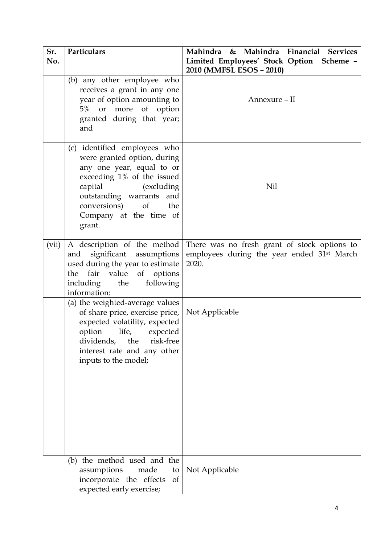| Sr.<br>No.                                                                                                                                                                            | Particulars                                                                                                                                                                                                                                   | Mahindra & Mahindra Financial Services<br>Limited Employees' Stock Option Scheme -                              |
|---------------------------------------------------------------------------------------------------------------------------------------------------------------------------------------|-----------------------------------------------------------------------------------------------------------------------------------------------------------------------------------------------------------------------------------------------|-----------------------------------------------------------------------------------------------------------------|
|                                                                                                                                                                                       |                                                                                                                                                                                                                                               | 2010 (MMFSL ESOS - 2010)                                                                                        |
|                                                                                                                                                                                       | (b) any other employee who<br>receives a grant in any one<br>year of option amounting to<br>$5\%$<br>or more of option<br>granted during that year;<br>and                                                                                    | Annexure - II                                                                                                   |
|                                                                                                                                                                                       | (c) identified employees who<br>were granted option, during<br>any one year, equal to or<br>exceeding 1% of the issued<br>capital<br>(excluding)<br>outstanding warrants and<br>conversions)<br>of<br>the<br>Company at the time of<br>grant. | Nil                                                                                                             |
| A description of the method<br>(vii)<br>significant assumptions<br>and<br>used during the year to estimate<br>the fair value of options<br>following<br>including the<br>information: |                                                                                                                                                                                                                                               | There was no fresh grant of stock options to<br>employees during the year ended 31 <sup>st</sup> March<br>2020. |
|                                                                                                                                                                                       | (a) the weighted-average values<br>of share price, exercise price,<br>expected volatility, expected<br>option<br>life,<br>expected<br>dividends,<br>the<br>risk-free<br>interest rate and any other<br>inputs to the model;                   | Not Applicable                                                                                                  |
|                                                                                                                                                                                       | (b) the method used and the<br>assumptions<br>made<br>incorporate the effects<br>of<br>expected early exercise;                                                                                                                               | to   Not Applicable                                                                                             |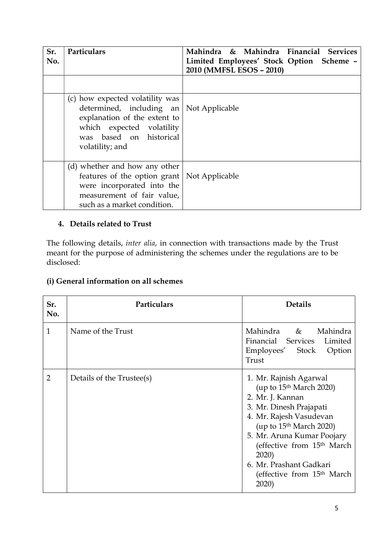| Sr.<br>No. | Particulars                                                                                                                                                                                   | Mahindra & Mahindra Financial Services<br>Limited Employees' Stock Option Scheme -<br>2010 (MMFSL ESOS - 2010) |
|------------|-----------------------------------------------------------------------------------------------------------------------------------------------------------------------------------------------|----------------------------------------------------------------------------------------------------------------|
|            |                                                                                                                                                                                               |                                                                                                                |
|            | (c) how expected volatility was<br>determined, including an $\vert$ Not Applicable<br>explanation of the extent to<br>which expected volatility<br>was based on historical<br>volatility; and |                                                                                                                |
|            | (d) whether and how any other<br>features of the option grant   Not Applicable<br>were incorporated into the<br>measurement of fair value,<br>such as a market condition.                     |                                                                                                                |

## 4. Details related to Trust

The following details, inter alia, in connection with transactions made by the Trust meant for the purpose of administering the schemes under the regulations are to be disclosed:

## (i) General information on all schemes

| Sr.<br>No.     | Particulars               | <b>Details</b>                                                                                                                                                                                                                                                                                                    |
|----------------|---------------------------|-------------------------------------------------------------------------------------------------------------------------------------------------------------------------------------------------------------------------------------------------------------------------------------------------------------------|
| $\mathbf{1}$   | Name of the Trust         | Mahindra & Mahindra<br>Financial Services Limited<br>Employees' Stock<br>Option<br>Trust                                                                                                                                                                                                                          |
| $\overline{2}$ | Details of the Trustee(s) | 1. Mr. Rajnish Agarwal<br>(up to $15th March 2020$ )<br>2. Mr. J. Kannan<br>3. Mr. Dinesh Prajapati<br>4. Mr. Rajesh Vasudevan<br>(up to $15th March 2020$ )<br>5. Mr. Aruna Kumar Poojary<br>(effective from 15 <sup>th</sup> March<br>2020)<br>6. Mr. Prashant Gadkari<br>(effective from $15th$ March<br>2020) |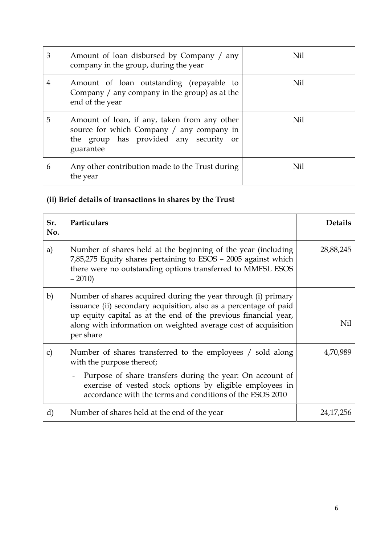| 3 | Amount of loan disbursed by Company / any<br>company in the group, during the year                                                               | Nil |
|---|--------------------------------------------------------------------------------------------------------------------------------------------------|-----|
| 4 | Amount of loan outstanding (repayable to<br>Company / any company in the group) as at the<br>end of the year                                     | Nil |
| 5 | Amount of loan, if any, taken from any other<br>source for which Company / any company in<br>the group has provided any security or<br>guarantee | Nil |
| 6 | Any other contribution made to the Trust during<br>the year                                                                                      | Nil |

# (ii) Brief details of transactions in shares by the Trust

| Sr.<br>No.   | Particulars                                                                                                                                                                                                                                                                                                | <b>Details</b> |
|--------------|------------------------------------------------------------------------------------------------------------------------------------------------------------------------------------------------------------------------------------------------------------------------------------------------------------|----------------|
| a)           | Number of shares held at the beginning of the year (including<br>7,85,275 Equity shares pertaining to ESOS - 2005 against which<br>there were no outstanding options transferred to MMFSL ESOS<br>$-2010$                                                                                                  | 28,88,245      |
| b)           | Number of shares acquired during the year through (i) primary<br>issuance (ii) secondary acquisition, also as a percentage of paid<br>up equity capital as at the end of the previous financial year,<br>along with information on weighted average cost of acquisition<br>per share                       | Nil            |
| $\mathbf{C}$ | Number of shares transferred to the employees / sold along<br>with the purpose thereof;<br>Purpose of share transfers during the year: On account of<br>$\overline{\phantom{a}}$<br>exercise of vested stock options by eligible employees in<br>accordance with the terms and conditions of the ESOS 2010 | 4,70,989       |
| d)           | Number of shares held at the end of the year                                                                                                                                                                                                                                                               | 24, 17, 256    |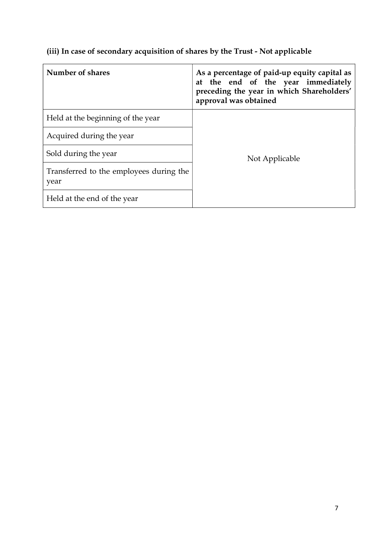## (iii) In case of secondary acquisition of shares by the Trust - Not applicable

| Number of shares                                | As a percentage of paid-up equity capital as<br>at the end of the year immediately<br>preceding the year in which Shareholders'<br>approval was obtained |  |
|-------------------------------------------------|----------------------------------------------------------------------------------------------------------------------------------------------------------|--|
| Held at the beginning of the year               |                                                                                                                                                          |  |
| Acquired during the year                        |                                                                                                                                                          |  |
| Sold during the year                            | Not Applicable                                                                                                                                           |  |
| Transferred to the employees during the<br>year |                                                                                                                                                          |  |
| Held at the end of the year                     |                                                                                                                                                          |  |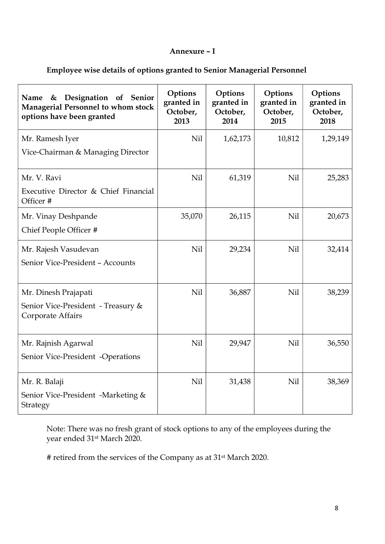#### Annexure – I

## Employee wise details of options granted to Senior Managerial Personnel

| Designation of Senior<br>Name<br>&<br><b>Managerial Personnel to whom stock</b><br>options have been granted | Options<br>granted in<br>October,<br>2013 | Options<br>granted in<br>October,<br>2014 | Options<br>granted in<br>October,<br>2015 | Options<br>granted in<br>October,<br>2018 |
|--------------------------------------------------------------------------------------------------------------|-------------------------------------------|-------------------------------------------|-------------------------------------------|-------------------------------------------|
| Mr. Ramesh Iyer<br>Vice-Chairman & Managing Director                                                         | Nil                                       | 1,62,173                                  | 10,812                                    | 1,29,149                                  |
| Mr. V. Ravi<br>Executive Director & Chief Financial<br>Officer #                                             | Nil                                       | 61,319                                    | Nil                                       | 25,283                                    |
| Mr. Vinay Deshpande<br>Chief People Officer #                                                                | 35,070                                    | 26,115                                    | Nil                                       | 20,673                                    |
| Mr. Rajesh Vasudevan<br>Senior Vice-President - Accounts                                                     | Nil                                       | 29,234                                    | <b>Nil</b>                                | 32,414                                    |
| Mr. Dinesh Prajapati<br>Senior Vice-President - Treasury &<br>Corporate Affairs                              | Nil                                       | 36,887                                    | Nil                                       | 38,239                                    |
| Mr. Rajnish Agarwal<br>Senior Vice-President -Operations                                                     | Nil                                       | 29,947                                    | <b>Nil</b>                                | 36,550                                    |
| Mr. R. Balaji<br>Senior Vice-President -Marketing &<br>Strategy                                              | Nil                                       | 31,438                                    | Nil                                       | 38,369                                    |

Note: There was no fresh grant of stock options to any of the employees during the year ended 31st March 2020.

# retired from the services of the Company as at 31st March 2020.